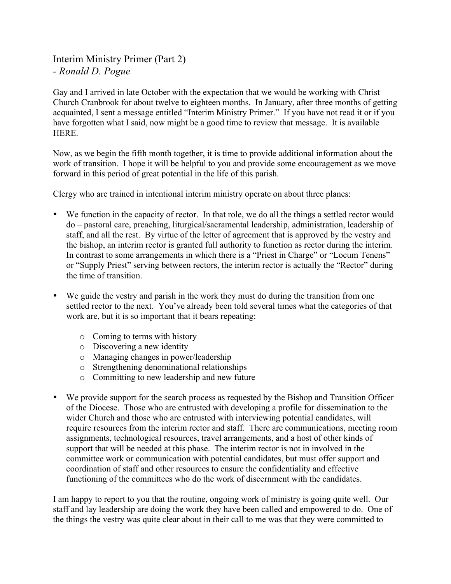## Interim Ministry Primer (Part 2) *- Ronald D. Pogue*

Gay and I arrived in late October with the expectation that we would be working with Christ Church Cranbrook for about twelve to eighteen months. In January, after three months of getting acquainted, I sent a message entitled "Interim Ministry Primer." If you have not read it or if you have forgotten what I said, now might be a good time to review that message. It is available HERE.

Now, as we begin the fifth month together, it is time to provide additional information about the work of transition. I hope it will be helpful to you and provide some encouragement as we move forward in this period of great potential in the life of this parish.

Clergy who are trained in intentional interim ministry operate on about three planes:

- We function in the capacity of rector. In that role, we do all the things a settled rector would do – pastoral care, preaching, liturgical/sacramental leadership, administration, leadership of staff, and all the rest. By virtue of the letter of agreement that is approved by the vestry and the bishop, an interim rector is granted full authority to function as rector during the interim. In contrast to some arrangements in which there is a "Priest in Charge" or "Locum Tenens" or "Supply Priest" serving between rectors, the interim rector is actually the "Rector" during the time of transition.
- We guide the vestry and parish in the work they must do during the transition from one settled rector to the next. You've already been told several times what the categories of that work are, but it is so important that it bears repeating:
	- o Coming to terms with history
	- o Discovering a new identity
	- o Managing changes in power/leadership
	- o Strengthening denominational relationships
	- o Committing to new leadership and new future
- We provide support for the search process as requested by the Bishop and Transition Officer of the Diocese. Those who are entrusted with developing a profile for dissemination to the wider Church and those who are entrusted with interviewing potential candidates, will require resources from the interim rector and staff. There are communications, meeting room assignments, technological resources, travel arrangements, and a host of other kinds of support that will be needed at this phase. The interim rector is not in involved in the committee work or communication with potential candidates, but must offer support and coordination of staff and other resources to ensure the confidentiality and effective functioning of the committees who do the work of discernment with the candidates.

I am happy to report to you that the routine, ongoing work of ministry is going quite well. Our staff and lay leadership are doing the work they have been called and empowered to do. One of the things the vestry was quite clear about in their call to me was that they were committed to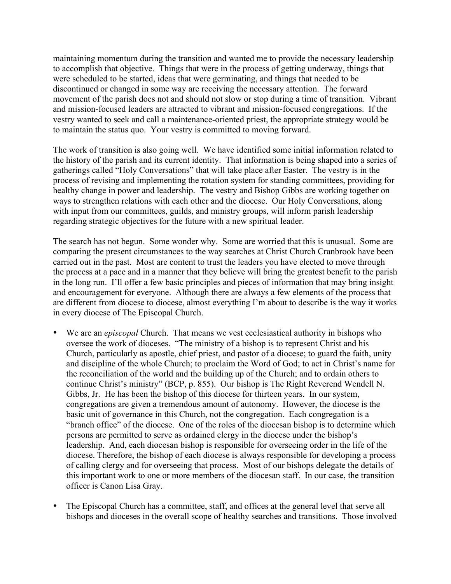maintaining momentum during the transition and wanted me to provide the necessary leadership to accomplish that objective. Things that were in the process of getting underway, things that were scheduled to be started, ideas that were germinating, and things that needed to be discontinued or changed in some way are receiving the necessary attention. The forward movement of the parish does not and should not slow or stop during a time of transition. Vibrant and mission-focused leaders are attracted to vibrant and mission-focused congregations. If the vestry wanted to seek and call a maintenance-oriented priest, the appropriate strategy would be to maintain the status quo. Your vestry is committed to moving forward.

The work of transition is also going well. We have identified some initial information related to the history of the parish and its current identity. That information is being shaped into a series of gatherings called "Holy Conversations" that will take place after Easter. The vestry is in the process of revising and implementing the rotation system for standing committees, providing for healthy change in power and leadership. The vestry and Bishop Gibbs are working together on ways to strengthen relations with each other and the diocese. Our Holy Conversations, along with input from our committees, guilds, and ministry groups, will inform parish leadership regarding strategic objectives for the future with a new spiritual leader.

The search has not begun. Some wonder why. Some are worried that this is unusual. Some are comparing the present circumstances to the way searches at Christ Church Cranbrook have been carried out in the past. Most are content to trust the leaders you have elected to move through the process at a pace and in a manner that they believe will bring the greatest benefit to the parish in the long run. I'll offer a few basic principles and pieces of information that may bring insight and encouragement for everyone. Although there are always a few elements of the process that are different from diocese to diocese, almost everything I'm about to describe is the way it works in every diocese of The Episcopal Church.

- We are an *episcopal* Church. That means we vest ecclesiastical authority in bishops who oversee the work of dioceses. "The ministry of a bishop is to represent Christ and his Church, particularly as apostle, chief priest, and pastor of a diocese; to guard the faith, unity and discipline of the whole Church; to proclaim the Word of God; to act in Christ's name for the reconciliation of the world and the building up of the Church; and to ordain others to continue Christ's ministry" (BCP, p. 855). Our bishop is The Right Reverend Wendell N. Gibbs, Jr. He has been the bishop of this diocese for thirteen years. In our system, congregations are given a tremendous amount of autonomy. However, the diocese is the basic unit of governance in this Church, not the congregation. Each congregation is a "branch office" of the diocese. One of the roles of the diocesan bishop is to determine which persons are permitted to serve as ordained clergy in the diocese under the bishop's leadership. And, each diocesan bishop is responsible for overseeing order in the life of the diocese. Therefore, the bishop of each diocese is always responsible for developing a process of calling clergy and for overseeing that process. Most of our bishops delegate the details of this important work to one or more members of the diocesan staff. In our case, the transition officer is Canon Lisa Gray.
- The Episcopal Church has a committee, staff, and offices at the general level that serve all bishops and dioceses in the overall scope of healthy searches and transitions. Those involved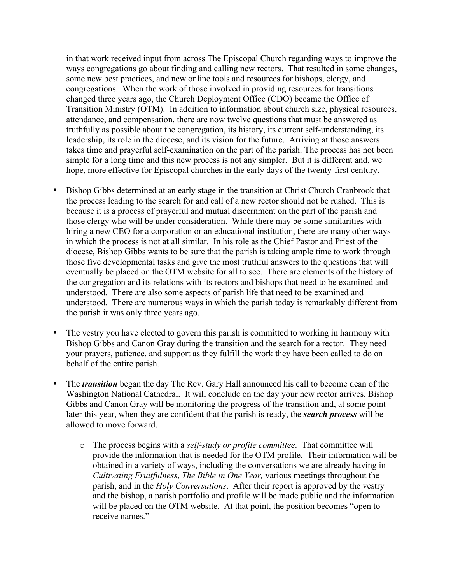in that work received input from across The Episcopal Church regarding ways to improve the ways congregations go about finding and calling new rectors. That resulted in some changes, some new best practices, and new online tools and resources for bishops, clergy, and congregations. When the work of those involved in providing resources for transitions changed three years ago, the Church Deployment Office (CDO) became the Office of Transition Ministry (OTM). In addition to information about church size, physical resources, attendance, and compensation, there are now twelve questions that must be answered as truthfully as possible about the congregation, its history, its current self-understanding, its leadership, its role in the diocese, and its vision for the future. Arriving at those answers takes time and prayerful self-examination on the part of the parish. The process has not been simple for a long time and this new process is not any simpler. But it is different and, we hope, more effective for Episcopal churches in the early days of the twenty-first century.

- Bishop Gibbs determined at an early stage in the transition at Christ Church Cranbrook that the process leading to the search for and call of a new rector should not be rushed. This is because it is a process of prayerful and mutual discernment on the part of the parish and those clergy who will be under consideration. While there may be some similarities with hiring a new CEO for a corporation or an educational institution, there are many other ways in which the process is not at all similar. In his role as the Chief Pastor and Priest of the diocese, Bishop Gibbs wants to be sure that the parish is taking ample time to work through those five developmental tasks and give the most truthful answers to the questions that will eventually be placed on the OTM website for all to see. There are elements of the history of the congregation and its relations with its rectors and bishops that need to be examined and understood. There are also some aspects of parish life that need to be examined and understood. There are numerous ways in which the parish today is remarkably different from the parish it was only three years ago.
- The vestry you have elected to govern this parish is committed to working in harmony with Bishop Gibbs and Canon Gray during the transition and the search for a rector. They need your prayers, patience, and support as they fulfill the work they have been called to do on behalf of the entire parish.
- The *transition* began the day The Rev. Gary Hall announced his call to become dean of the Washington National Cathedral. It will conclude on the day your new rector arrives. Bishop Gibbs and Canon Gray will be monitoring the progress of the transition and, at some point later this year, when they are confident that the parish is ready, the *search process* will be allowed to move forward.
	- o The process begins with a *self-study or profile committee*. That committee will provide the information that is needed for the OTM profile. Their information will be obtained in a variety of ways, including the conversations we are already having in *Cultivating Fruitfulness*, *The Bible in One Year,* various meetings throughout the parish, and in the *Holy Conversations*. After their report is approved by the vestry and the bishop, a parish portfolio and profile will be made public and the information will be placed on the OTM website. At that point, the position becomes "open to receive names."